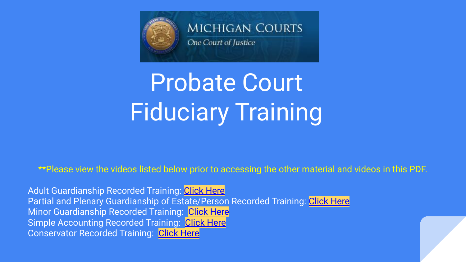

# Probate Court Fiduciary Training

\*\*Please view the videos listed below prior to accessing the other material and videos in this PDF.

Adult Guardianship Recorded Training: Click Here Partial and Plenary Guardianship of Estate/Person Recorded Training: Click Here Minor Guardianship Recorded Training: Click Here Simple Accounting Recorded Training: Click Here Conservator Recorded Training: [Click Here](https://us02web.zoom.us/rec/share/1JXqrseh8U5a8O1LNaQghBAVK9VxrF_34ls7PkHT0SCX13sn7Sv60m7ZNtQAXgyE.rH4Qks7Yhas-X13G)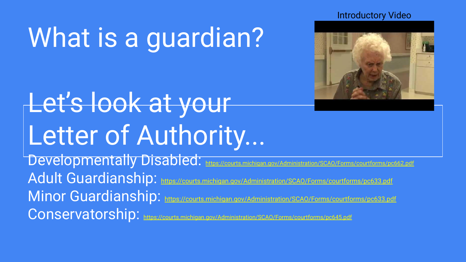# What is a guardian?

#### Introductory Video



Let's look at your Letter of Authority...

Developmentally Disabled: <https://courts.michigan.gov/Administration/SCAO/Forms/courtforms/pc662.pdf> Adult Guardianship: <https://courts.michigan.gov/Administration/SCAO/Forms/courtforms/pc633.pdf> Minor Guardianship: <https://courts.michigan.gov/Administration/SCAO/Forms/courtforms/pc633.pdf> CONSETVATOrship: <https://courts.michigan.gov/Administration/SCAO/Forms/courtforms/pc645.pdf>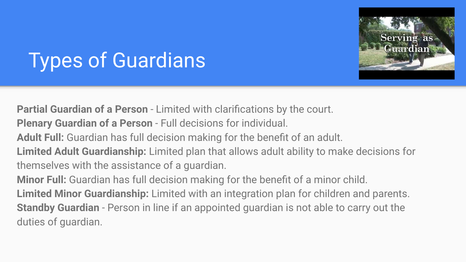

# Types of Guardians

**Partial Guardian of a Person** - Limited with clarifications by the court.

**Plenary Guardian of a Person** - Full decisions for individual.

**Adult Full:** Guardian has full decision making for the benefit of an adult.

**Limited Adult Guardianship:** Limited plan that allows adult ability to make decisions for themselves with the assistance of a guardian.

**Minor Full:** Guardian has full decision making for the benefit of a minor child.

**Limited Minor Guardianship:** Limited with an integration plan for children and parents. **Standby Guardian** - Person in line if an appointed guardian is not able to carry out the duties of guardian.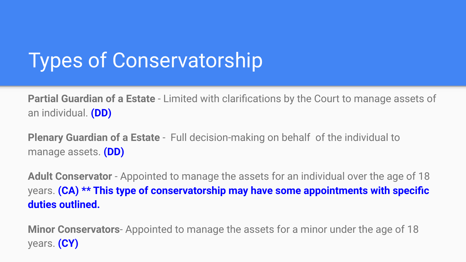# Types of Conservatorship

**Partial Guardian of a Estate** - Limited with clarifications by the Court to manage assets of an individual. **(DD)**

**Plenary Guardian of a Estate** - Full decision-making on behalf of the individual to manage assets. **(DD)**

**Adult Conservator** - Appointed to manage the assets for an individual over the age of 18 years. **(CA) \*\* This type of conservatorship may have some appointments with specific duties outlined.**

**Minor Conservators**- Appointed to manage the assets for a minor under the age of 18 years. **(CY)**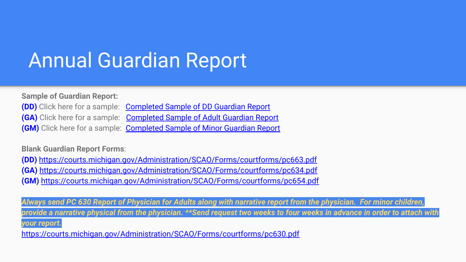# Annual Guardian Report

#### **Sample of Guardian Report:**

**(DD)** Click here for a sample: [Completed Sample of DD Guardian Report](https://documentcloud.adobe.com/link/review?uri=urn:aaid:scds:US:8183fbd4-1093-4ee2-ae04-cd59b8d08ab7) **(GA)** Click here for a sample: [Completed Sample of Adult Guardian Report](https://documentcloud.adobe.com/link/review?uri=urn:aaid:scds:US:b4e6e1f1-c1fd-4ea9-8ce0-764e626fa176) **(GM)** Click here for a sample: [Completed Sample of Minor Guardian Report](https://documentcloud.adobe.com/link/review?uri=urn:aaid:scds:US:c8a29068-d97c-4860-8c26-f657290027a0)

#### **Blank Guardian Report Forms**:

**(DD)** <https://courts.michigan.gov/Administration/SCAO/Forms/courtforms/pc663.pdf>

**(GA)** <https://courts.michigan.gov/Administration/SCAO/Forms/courtforms/pc634.pdf>

**(GM)** <https://courts.michigan.gov/Administration/SCAO/Forms/courtforms/pc654.pdf>

*Always send PC 630 Report of Physician for Adults along with narrative report from the physician. For minor children, provide a narrative physical from the physician. \*\*Send request two weeks to four weeks in advance in order to attach with your report.*

<https://courts.michigan.gov/Administration/SCAO/Forms/courtforms/pc630.pdf>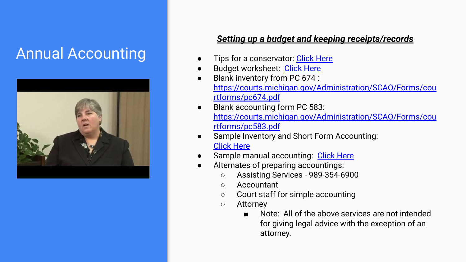### Annual Accounting



### *Setting up a budget and keeping receipts/records*

- Tips for a conservator: [Click Here](https://documentcloud.adobe.com/link/review?uri=urn:aaid:scds:US:7025cd0b-b612-4d7d-84d9-238e720828d9)
- **Budget worksheet: [Click Here](https://docs.google.com/spreadsheets/d/1BNIrvFIWViKaisgDWnsSt3xAcQ9uQeGYgDVScL63_pw/edit?usp=sharing)**
- Blank inventory from PC 674 : [https://courts.michigan.gov/Administration/SCAO/Forms/cou](https://courts.michigan.gov/Administration/SCAO/Forms/courtforms/pc674.pdf) [rtforms/pc674.pdf](https://courts.michigan.gov/Administration/SCAO/Forms/courtforms/pc674.pdf)
- Blank accounting form PC 583: [https://courts.michigan.gov/Administration/SCAO/Forms/cou](https://courts.michigan.gov/Administration/SCAO/Forms/courtforms/pc583.pdf) [rtforms/pc583.pdf](https://courts.michigan.gov/Administration/SCAO/Forms/courtforms/pc583.pdf)
- Sample Inventory and Short Form Accounting: [Click Here](https://documentcloud.adobe.com/link/review?uri=urn:aaid:scds:US:da7dea4f-47d7-46be-b0fe-7b945ebd67e3)
- Sample manual accounting: [Click Here](https://documentcloud.adobe.com/link/review?uri=urn:aaid:scds:US:298172a3-8edc-4798-ad45-53178495ef3a)
- Alternates of preparing accountings:
	- Assisting Services 989-354-6900
	- Accountant
	- Court staff for simple accounting
	- Attorney
		- Note: All of the above services are not intended for giving legal advice with the exception of an attorney.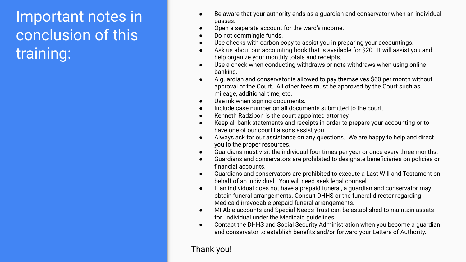### Important notes in conclusion of this training:

- Be aware that your authority ends as a guardian and conservator when an individual passes.
- Open a seperate account for the ward's income.
- Do not commingle funds.
- Use checks with carbon copy to assist you in preparing your accountings.
- Ask us about our accounting book that is available for \$20. It will assist you and help organize your monthly totals and receipts.
- Use a check when conducting withdraws or note withdraws when using online banking.
- A guardian and conservator is allowed to pay themselves \$60 per month without approval of the Court. All other fees must be approved by the Court such as mileage, additional time, etc.
- Use ink when signing documents.
- Include case number on all documents submitted to the court.
- Kenneth Radzibon is the court appointed attorney.
- Keep all bank statements and receipts in order to prepare your accounting or to have one of our court liaisons assist you.
- Always ask for our assistance on any questions. We are happy to help and direct you to the proper resources.
- Guardians must visit the individual four times per year or once every three months.
- Guardians and conservators are prohibited to designate beneficiaries on policies or financial accounts.
- Guardians and conservators are prohibited to execute a Last Will and Testament on behalf of an individual. You will need seek legal counsel.
- If an individual does not have a prepaid funeral, a guardian and conservator may obtain funeral arrangements. Consult DHHS or the funeral director regarding Medicaid irrevocable prepaid funeral arrangements.
- MI Able accounts and Special Needs Trust can be established to maintain assets for individual under the Medicaid guidelines.
- Contact the DHHS and Social Security Administration when you become a guardian and conservator to establish benefits and/or forward your Letters of Authority.

### Thank you!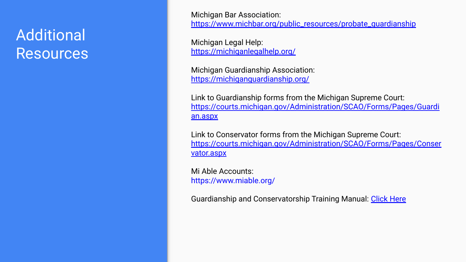### Additional **Resources**

Michigan Bar Association: [https://www.michbar.org/public\\_resources/probate\\_guardianship](https://www.michbar.org/public_resources/probate_guardianship)

Michigan Legal Help: <https://michiganlegalhelp.org/>

Michigan Guardianship Association: <https://michiganguardianship.org/>

Link to Guardianship forms from the Michigan Supreme Court: [https://courts.michigan.gov/Administration/SCAO/Forms/Pages/Guardi](https://courts.michigan.gov/Administration/SCAO/Forms/Pages/Guardian.aspx) [an.aspx](https://courts.michigan.gov/Administration/SCAO/Forms/Pages/Guardian.aspx)

Link to Conservator forms from the Michigan Supreme Court: [https://courts.michigan.gov/Administration/SCAO/Forms/Pages/Conser](https://courts.michigan.gov/Administration/SCAO/Forms/Pages/Conservator.aspx) [vator.aspx](https://courts.michigan.gov/Administration/SCAO/Forms/Pages/Conservator.aspx)

Mi Able Accounts: https://www.miable.org/

Guardianship and Conservatorship Training Manual: [Click Here](https://documentcloud.adobe.com/link/review?uri=urn:aaid:scds:US:cc8dee6f-33ef-448c-9587-69e6f5489bf3)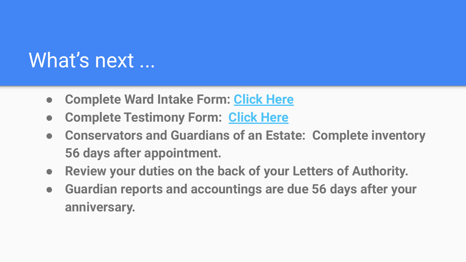# What's next ...

- **● Complete Ward Intake Form: [Click Here](https://documentcloud.adobe.com/link/review?uri=urn:aaid:scds:US:6b36b75c-b14b-40e4-99a5-a2a9825e0247)**
- **● Complete Testimony Form: [Click Here](https://documentcloud.adobe.com/link/review?uri=urn:aaid:scds:US:e9789169-74e8-4b4d-b5cf-1068af990392)**
- **● Conservators and Guardians of an Estate: Complete inventory 56 days after appointment.**
- **● Review your duties on the back of your Letters of Authority.**
- **● Guardian reports and accountings are due 56 days after your anniversary.**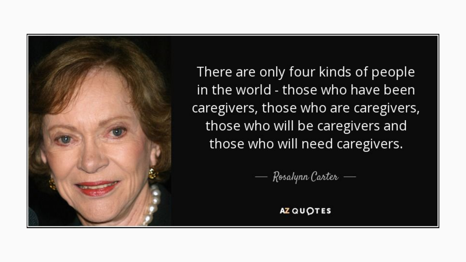There are only four kinds of people in the world - those who have been caregivers, those who are caregivers, those who will be caregivers and those who will need caregivers.

– RosaIynn Carter —

**AZ QUOTES**